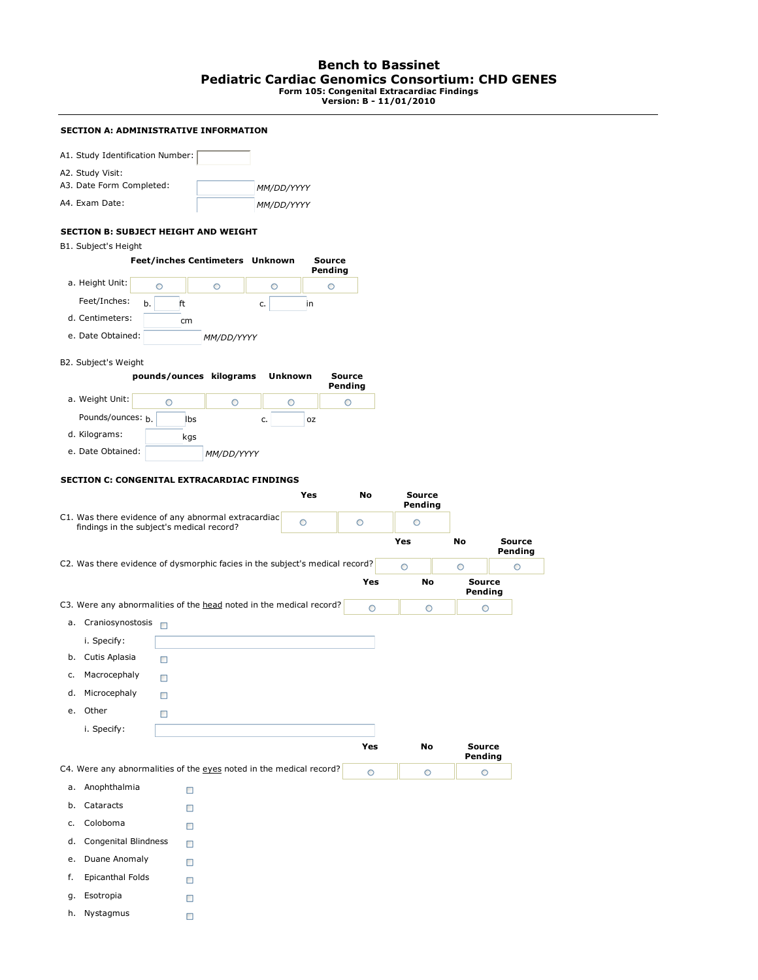## **Bench to Bassinet Pediatric Cardiac Genomics Consortium: CHD GENES Form 105: Congenital Extracardiac Findings Version: B - 11/01/2010**

# **SECTION A: ADMINISTRATIVE INFORMATION**

| A1. Study Identification Number: |            |
|----------------------------------|------------|
| A2. Study Visit:                 |            |
| A3. Date Form Completed:         | MM/DD/YYYY |
| A4. Exam Date:                   | MM/DD/YYYY |

## **SECTION B: SUBJECT HEIGHT AND WEIGHT**

B1. Subject's Height

|                   |          | <b>Feet/inches Centimeters Unknown</b> |    | Source<br>Pending |
|-------------------|----------|----------------------------------------|----|-------------------|
| a. Height Unit:   |          |                                        |    |                   |
| Feet/Inches:      | b.<br>ft |                                        | c. | ın                |
| d. Centimeters:   | cm       |                                        |    |                   |
| e. Date Obtained: |          | MM/DD/YYYY                             |    |                   |

### B2. Subject's Weight

|                   | pounds/ounces kilograms |                   | Unknown  | Source<br>Pending |
|-------------------|-------------------------|-------------------|----------|-------------------|
| a. Weight Unit:   |                         |                   |          |                   |
| Pounds/ounces: h. | lbs                     |                   | 0Z<br>c. |                   |
| d. Kilograms:     | kgs                     |                   |          |                   |
| e. Date Obtained: |                         | <i>MM/DD/YYYY</i> |          |                   |

### **SECTION C: CONGENITAL EXTRACARDIAC FINDINGS**

|    |                             |                                                                                                  | Yes     | <b>No</b> | <b>Source</b><br>Pending |                          |                          |
|----|-----------------------------|--------------------------------------------------------------------------------------------------|---------|-----------|--------------------------|--------------------------|--------------------------|
|    |                             | C1. Was there evidence of any abnormal extracardiac<br>findings in the subject's medical record? | $\circ$ | $\circ$   | $\circ$                  |                          |                          |
|    |                             |                                                                                                  |         |           | Yes                      | <b>No</b>                | <b>Source</b><br>Pending |
|    |                             | C2. Was there evidence of dysmorphic facies in the subject's medical record?                     |         |           | $\circ$                  | $\circ$                  | $\circ$                  |
|    |                             |                                                                                                  |         | Yes       | <b>No</b>                | <b>Source</b><br>Pending |                          |
|    |                             | C3. Were any abnormalities of the head noted in the medical record?                              |         | O         | $\circ$                  | O                        |                          |
|    | a. Craniosynostosis         |                                                                                                  |         |           |                          |                          |                          |
|    | i. Specify:                 |                                                                                                  |         |           |                          |                          |                          |
| b. | Cutis Aplasia               | П                                                                                                |         |           |                          |                          |                          |
| c. | Macrocephaly                | □                                                                                                |         |           |                          |                          |                          |
| d. | Microcephaly                | п                                                                                                |         |           |                          |                          |                          |
|    | e. Other                    | □                                                                                                |         |           |                          |                          |                          |
|    | i. Specify:                 |                                                                                                  |         |           |                          |                          |                          |
|    |                             |                                                                                                  |         | Yes       | <b>No</b>                | <b>Source</b><br>Pending |                          |
|    |                             | C4. Were any abnormalities of the eyes noted in the medical record?                              |         | O         | O                        | $\circ$                  |                          |
| a. | Anophthalmia                | Ο                                                                                                |         |           |                          |                          |                          |
| b. | Cataracts                   | □                                                                                                |         |           |                          |                          |                          |
| c. | Coloboma                    | П                                                                                                |         |           |                          |                          |                          |
| d. | <b>Congenital Blindness</b> | □                                                                                                |         |           |                          |                          |                          |
| e. | Duane Anomaly               | п                                                                                                |         |           |                          |                          |                          |
| f. | <b>Epicanthal Folds</b>     | П                                                                                                |         |           |                          |                          |                          |
| g. | Esotropia                   | □                                                                                                |         |           |                          |                          |                          |
| h. | Nystagmus                   | □                                                                                                |         |           |                          |                          |                          |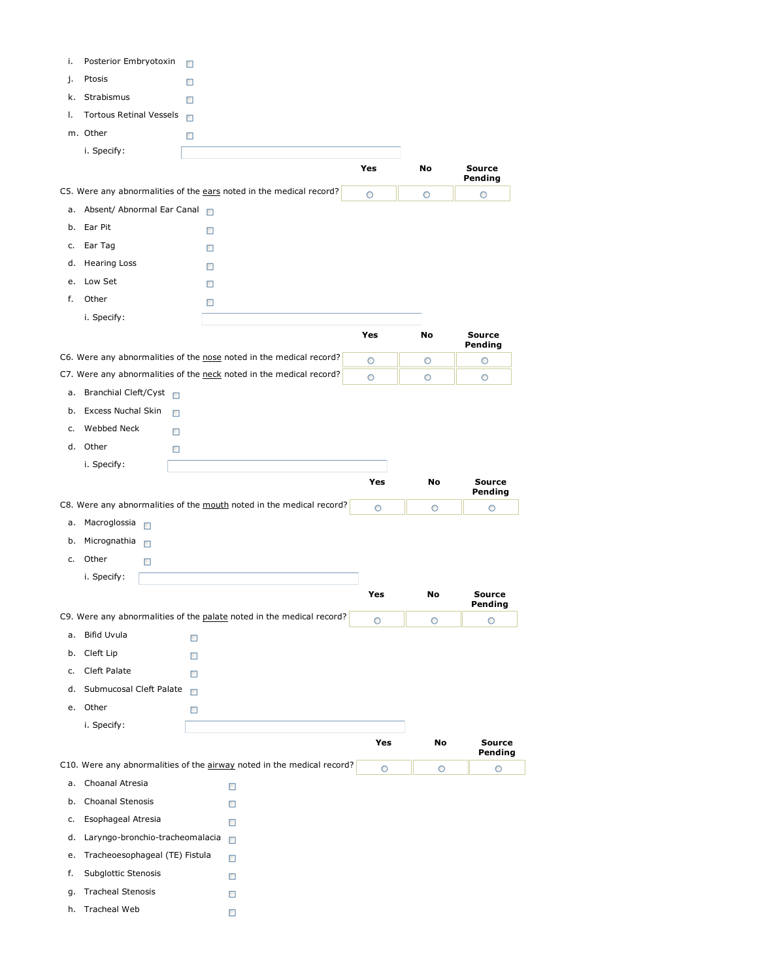| i. | Posterior Embryotoxin           | □      |                                                                        |         |         |                    |
|----|---------------------------------|--------|------------------------------------------------------------------------|---------|---------|--------------------|
| j. | Ptosis                          | п      |                                                                        |         |         |                    |
| k. | Strabismus                      | □      |                                                                        |         |         |                    |
| ı. | Tortous Retinal Vessels □       |        |                                                                        |         |         |                    |
|    | m. Other                        | □      |                                                                        |         |         |                    |
|    | i. Specify:                     |        |                                                                        |         |         |                    |
|    |                                 |        |                                                                        | Yes     | No      | <b>Source</b>      |
|    |                                 |        | C5. Were any abnormalities of the ears noted in the medical record?    | O       | O       | Pending<br>$\circ$ |
|    | a. Absent/ Abnormal Ear Canal   |        |                                                                        |         |         |                    |
|    | b. Ear Pit                      | □      |                                                                        |         |         |                    |
| c. | Ear Tag                         | □      |                                                                        |         |         |                    |
| d. | <b>Hearing Loss</b>             | □      |                                                                        |         |         |                    |
| e. | Low Set                         | □      |                                                                        |         |         |                    |
| f. | Other                           | □      |                                                                        |         |         |                    |
|    | i. Specify:                     |        |                                                                        |         |         |                    |
|    |                                 |        |                                                                        | Yes     | No      | <b>Source</b>      |
|    |                                 |        | C6. Were any abnormalities of the nose noted in the medical record?    | O       | O       | Pending<br>$\circ$ |
|    |                                 |        | C7. Were any abnormalities of the neck noted in the medical record?    | $\circ$ | $\circ$ | $\circ$            |
| a. | Branchial Cleft/Cyst            |        |                                                                        |         |         |                    |
| b. | <b>Excess Nuchal Skin</b>       | □      |                                                                        |         |         |                    |
| c. | Webbed Neck                     | □      |                                                                        |         |         |                    |
|    | d. Other                        | □      |                                                                        |         |         |                    |
|    | i. Specify:                     |        |                                                                        |         |         |                    |
|    |                                 |        |                                                                        | Yes     | No      | <b>Source</b>      |
|    |                                 |        | C8. Were any abnormalities of the mouth noted in the medical record?   |         |         | Pending            |
| a. | Macroglossia                    |        |                                                                        | $\circ$ | $\circ$ | O                  |
| b. | $\Box$<br>Micrognathia          |        |                                                                        |         |         |                    |
|    | $\Box$<br>c. Other              |        |                                                                        |         |         |                    |
|    | □                               |        |                                                                        |         |         |                    |
|    | i. Specify:                     |        |                                                                        | Yes     | No      | <b>Source</b>      |
|    |                                 |        | C9. Were any abnormalities of the palate noted in the medical record?  | O       | $\circ$ | Pending<br>$\circ$ |
| а. | Bifid Uvula                     | □      |                                                                        |         |         |                    |
| b. | Cleft Lip                       | □      |                                                                        |         |         |                    |
| c. | Cleft Palate                    | $\Box$ |                                                                        |         |         |                    |
| d. | Submucosal Cleft Palate         | $\Box$ |                                                                        |         |         |                    |
|    | e. Other                        | $\Box$ |                                                                        |         |         |                    |
|    | i. Specify:                     |        |                                                                        |         |         |                    |
|    |                                 |        |                                                                        | Yes     | No      | <b>Source</b>      |
|    |                                 |        | C10. Were any abnormalities of the airway noted in the medical record? | $\circ$ | O       | Pending<br>$\circ$ |
| а. | Choanal Atresia                 |        | □                                                                      |         |         |                    |
| b. | Choanal Stenosis                |        | □                                                                      |         |         |                    |
| c. | Esophageal Atresia              |        | □                                                                      |         |         |                    |
| d. | Laryngo-bronchio-tracheomalacia |        | $\Box$                                                                 |         |         |                    |
| е. | Tracheoesophageal (TE) Fistula  |        |                                                                        |         |         |                    |
| f. | Subglottic Stenosis             |        | □                                                                      |         |         |                    |
|    |                                 |        | □                                                                      |         |         |                    |
| g. | <b>Tracheal Stenosis</b>        |        | □                                                                      |         |         |                    |
| h. | Tracheal Web                    |        | □                                                                      |         |         |                    |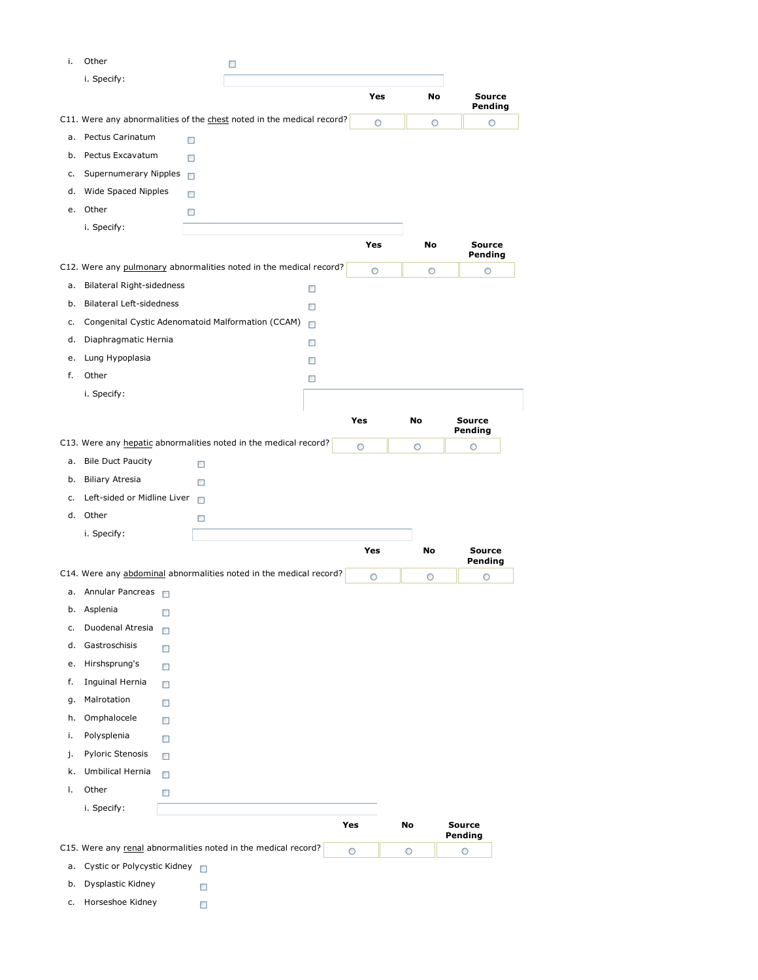| i. | Other                                                                 |        | □ |   |         |    |                          |
|----|-----------------------------------------------------------------------|--------|---|---|---------|----|--------------------------|
|    | i. Specify:                                                           |        |   |   |         |    |                          |
|    |                                                                       |        |   |   | Yes     | No | Source<br>Pending        |
|    | C11. Were any abnormalities of the chest noted in the medical record? |        |   |   | O       | O  | O                        |
| а. | Pectus Carinatum                                                      | □      |   |   |         |    |                          |
| b. | Pectus Excavatum                                                      | П      |   |   |         |    |                          |
| c. | Supernumerary Nipples                                                 | □      |   |   |         |    |                          |
| d. | Wide Spaced Nipples                                                   | □      |   |   |         |    |                          |
|    | e. Other                                                              | □      |   |   |         |    |                          |
|    | i. Specify:                                                           |        |   |   |         |    |                          |
|    |                                                                       |        |   |   | Yes     | No | <b>Source</b>            |
|    | C12. Were any pulmonary abnormalities noted in the medical record?    |        |   |   | $\circ$ | O  | Pending<br>$\circ$       |
| a. | Bilateral Right-sidedness                                             |        |   | □ |         |    |                          |
| b. | <b>Bilateral Left-sidedness</b>                                       |        |   | □ |         |    |                          |
| c. | Congenital Cystic Adenomatoid Malformation (CCAM)                     |        |   | □ |         |    |                          |
| d. | Diaphragmatic Hernia                                                  |        |   | □ |         |    |                          |
| e. | Lung Hypoplasia                                                       |        |   | □ |         |    |                          |
| f. | Other                                                                 |        |   | □ |         |    |                          |
|    | i. Specify:                                                           |        |   |   |         |    |                          |
|    |                                                                       |        |   |   |         |    |                          |
|    |                                                                       |        |   |   | Yes     | No | <b>Source</b><br>Pending |
|    | C13. Were any hepatic abnormalities noted in the medical record?      |        |   |   | O       | O  | O                        |
| a. | <b>Bile Duct Paucity</b>                                              | □      |   |   |         |    |                          |
| b. | <b>Biliary Atresia</b>                                                | □      |   |   |         |    |                          |
| c. | Left-sided or Midline Liver                                           | $\Box$ |   |   |         |    |                          |
|    | d. Other                                                              | □      |   |   |         |    |                          |
|    | i. Specify:                                                           |        |   |   |         |    |                          |
|    |                                                                       |        |   |   | Yes     | No | <b>Source</b>            |
|    | C14. Were any abdominal abnormalities noted in the medical record?    |        |   |   | O       | O  | Pending<br>O             |
|    | a. Annular Pancreas                                                   |        |   |   |         |    |                          |
|    | b. Asplenia<br>□                                                      |        |   |   |         |    |                          |
| c. | Duodenal Atresia<br>□                                                 |        |   |   |         |    |                          |
| d. | Gastroschisis<br>□                                                    |        |   |   |         |    |                          |
| e. | Hirshsprung's<br>□                                                    |        |   |   |         |    |                          |
| f. | Inguinal Hernia                                                       |        |   |   |         |    |                          |
| g. | □<br>Malrotation                                                      |        |   |   |         |    |                          |
| h. | □<br>Omphalocele                                                      |        |   |   |         |    |                          |
| i. | □<br>Polysplenia                                                      |        |   |   |         |    |                          |
| j. | □<br>Pyloric Stenosis                                                 |        |   |   |         |    |                          |
|    | $\Box$<br>Umbilical Hernia                                            |        |   |   |         |    |                          |
| k. | $\Box$                                                                |        |   |   |         |    |                          |
| Τ. | Other<br>□                                                            |        |   |   |         |    |                          |
|    | i. Specify:                                                           |        |   |   |         |    |                          |
|    |                                                                       |        |   |   | Yes     | No | <b>Source</b><br>Pending |
|    | C15. Were any renal abnormalities noted in the medical record?        |        |   |   | O       | O  | O                        |
| a. | Cystic or Polycystic Kidney                                           | $\Box$ |   |   |         |    |                          |
| b. |                                                                       |        |   |   |         |    |                          |
|    | Dysplastic Kidney                                                     | □      |   |   |         |    |                          |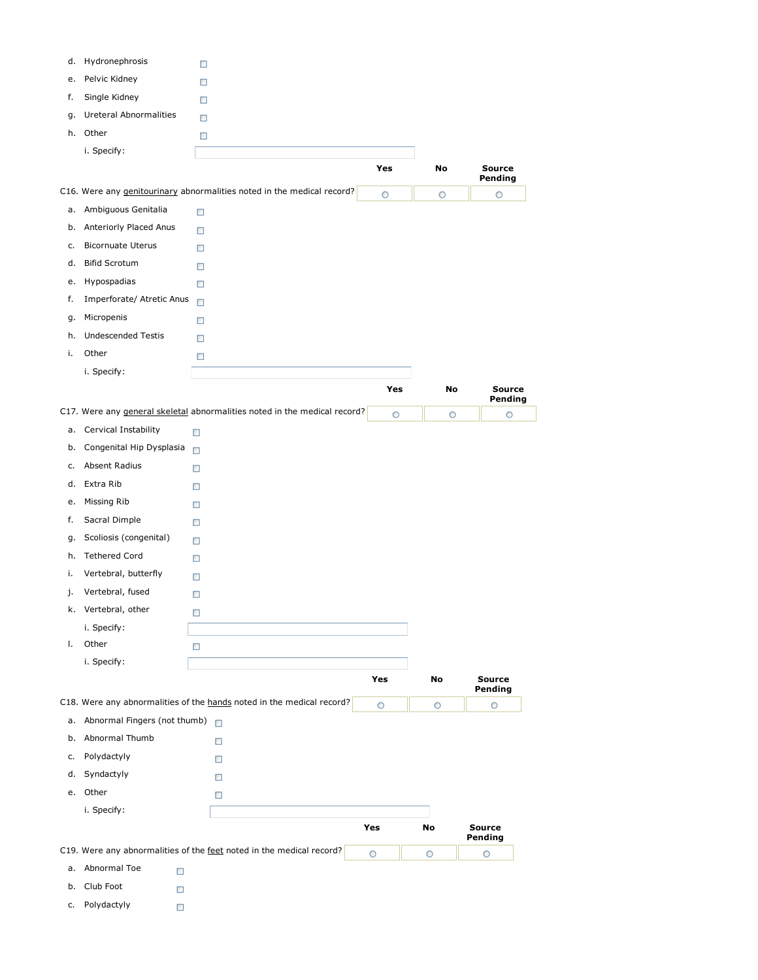| d. | Hydronephrosis               | □      |                                                                           |         |         |                          |
|----|------------------------------|--------|---------------------------------------------------------------------------|---------|---------|--------------------------|
| e. | Pelvic Kidney                | □      |                                                                           |         |         |                          |
| f. | Single Kidney                | □      |                                                                           |         |         |                          |
| g. | Ureteral Abnormalities       | □      |                                                                           |         |         |                          |
|    | h. Other                     | □      |                                                                           |         |         |                          |
|    | i. Specify:                  |        |                                                                           |         |         |                          |
|    |                              |        |                                                                           | Yes     | No      | <b>Source</b><br>Pending |
|    |                              |        | C16. Were any genitourinary abnormalities noted in the medical record?    | O       | O       | O                        |
| a. | Ambiguous Genitalia          | $\Box$ |                                                                           |         |         |                          |
| b. | Anteriorly Placed Anus       | $\Box$ |                                                                           |         |         |                          |
| c. | <b>Bicornuate Uterus</b>     | $\Box$ |                                                                           |         |         |                          |
| d. | <b>Bifid Scrotum</b>         | □      |                                                                           |         |         |                          |
| e. | Hypospadias                  | □      |                                                                           |         |         |                          |
| f. | Imperforate/ Atretic Anus    | $\Box$ |                                                                           |         |         |                          |
| g. | Micropenis                   | $\Box$ |                                                                           |         |         |                          |
| h. | <b>Undescended Testis</b>    | $\Box$ |                                                                           |         |         |                          |
| i. | Other                        | □      |                                                                           |         |         |                          |
|    | i. Specify:                  |        |                                                                           |         |         |                          |
|    |                              |        |                                                                           | Yes     | No      | <b>Source</b>            |
|    |                              |        | C17. Were any general skeletal abnormalities noted in the medical record? | $\circ$ | $\circ$ | Pending<br>$\circ$       |
| a. | Cervical Instability         | □      |                                                                           |         |         |                          |
| b. | Congenital Hip Dysplasia     | $\Box$ |                                                                           |         |         |                          |
| c. | Absent Radius                | □      |                                                                           |         |         |                          |
| d. | Extra Rib                    | □      |                                                                           |         |         |                          |
| e. | Missing Rib                  | □      |                                                                           |         |         |                          |
| f. | Sacral Dimple                | □      |                                                                           |         |         |                          |
| g. | Scoliosis (congenital)       | □      |                                                                           |         |         |                          |
| h. | <b>Tethered Cord</b>         | □      |                                                                           |         |         |                          |
| i. | Vertebral, butterfly         | □      |                                                                           |         |         |                          |
| j. | Vertebral, fused             | □      |                                                                           |         |         |                          |
|    | k. Vertebral, other          | □      |                                                                           |         |         |                          |
|    | i. Specify:                  |        |                                                                           |         |         |                          |
| Τ. | Other                        | □      |                                                                           |         |         |                          |
|    | i. Specify:                  |        |                                                                           |         |         |                          |
|    |                              |        |                                                                           | Yes     | No      | <b>Source</b>            |
|    |                              |        | C18. Were any abnormalities of the hands noted in the medical record?     | $\circ$ | $\circ$ | Pending<br>$\circ$       |
| а. | Abnormal Fingers (not thumb) |        |                                                                           |         |         |                          |
| b. | Abnormal Thumb               |        | □                                                                         |         |         |                          |
| c. | Polydactyly                  |        | □                                                                         |         |         |                          |
| d. | Syndactyly                   |        | о                                                                         |         |         |                          |
| e. | Other                        |        | □                                                                         |         |         |                          |
|    | i. Specify:                  |        |                                                                           |         |         |                          |
|    |                              |        |                                                                           | Yes     | No      | <b>Source</b>            |
|    |                              |        | C19. Were any abnormalities of the feet noted in the medical record?      | O       |         | Pending                  |
| а. | Abnormal Toe<br>$\Box$       |        |                                                                           |         | O       | $\circ$                  |
| b. | Club Foot<br>□               |        |                                                                           |         |         |                          |
| c. | Polydactyly                  |        |                                                                           |         |         |                          |
|    | $\Box$                       |        |                                                                           |         |         |                          |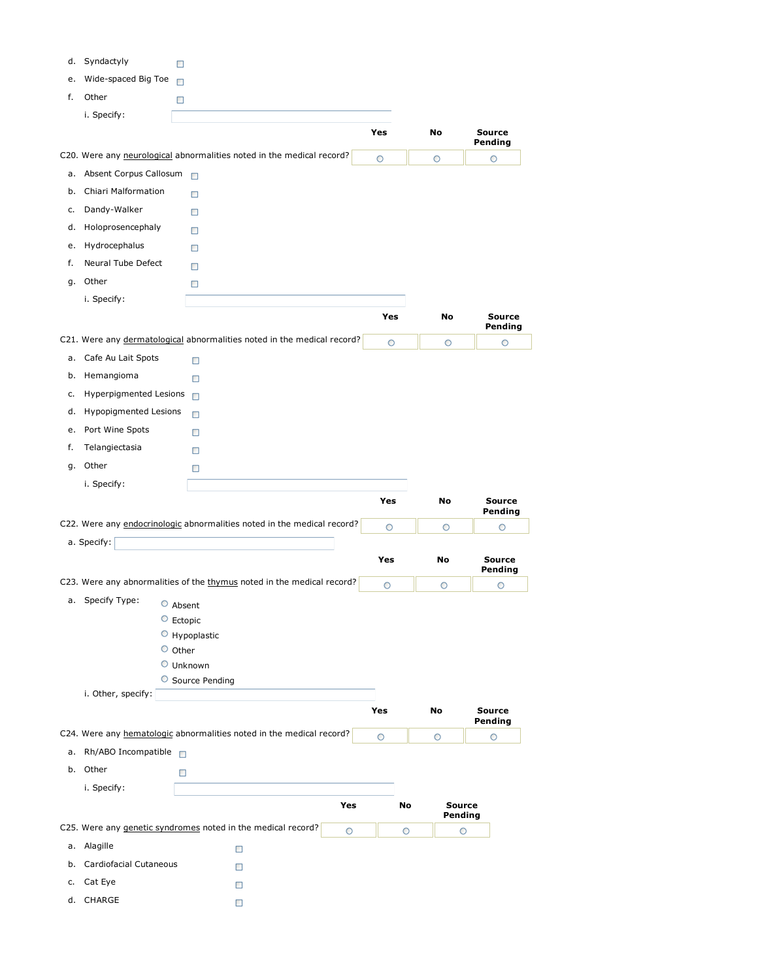|    | d. Syndactyly                      | □                                                                       |         |                     |                          |
|----|------------------------------------|-------------------------------------------------------------------------|---------|---------------------|--------------------------|
|    | e. Wide-spaced Big Toe □           |                                                                         |         |                     |                          |
| f. | Other                              | □                                                                       |         |                     |                          |
|    | i. Specify:                        |                                                                         |         |                     |                          |
|    |                                    |                                                                         | Yes     | No                  | <b>Source</b><br>Pending |
|    |                                    | C20. Were any neurological abnormalities noted in the medical record?   | O       | O                   | O                        |
| a. | Absent Corpus Callosum             |                                                                         |         |                     |                          |
| b. | Chiari Malformation                | $\Box$                                                                  |         |                     |                          |
| c. | Dandy-Walker                       | $\Box$                                                                  |         |                     |                          |
| d. | Holoprosencephaly                  | $\Box$                                                                  |         |                     |                          |
| e. | Hydrocephalus                      | $\Box$                                                                  |         |                     |                          |
| f. | Neural Tube Defect                 | $\Box$                                                                  |         |                     |                          |
| g. | Other                              | $\Box$                                                                  |         |                     |                          |
|    | i. Specify:                        |                                                                         |         |                     |                          |
|    |                                    |                                                                         | Yes     | No                  | <b>Source</b><br>Pending |
|    |                                    | C21. Were any dermatological abnormalities noted in the medical record? | $\circ$ | $\circ$             | $\circ$                  |
|    | a. Cafe Au Lait Spots              | □                                                                       |         |                     |                          |
| b. | Hemangioma                         | □                                                                       |         |                     |                          |
| c. | Hyperpigmented Lesions             | $\Box$                                                                  |         |                     |                          |
| d. | <b>Hypopigmented Lesions</b>       | □                                                                       |         |                     |                          |
| e. | Port Wine Spots                    | □                                                                       |         |                     |                          |
| f. | Telangiectasia                     | □                                                                       |         |                     |                          |
|    | g. Other                           | □                                                                       |         |                     |                          |
|    | i. Specify:                        |                                                                         |         |                     |                          |
|    |                                    |                                                                         | Yes     |                     | <b>Source</b>            |
|    |                                    |                                                                         |         | No                  | Pending                  |
|    |                                    | C22. Were any endocrinologic abnormalities noted in the medical record? | O       | O                   | O                        |
|    | a. Specify:                        |                                                                         |         |                     |                          |
|    |                                    |                                                                         | Yes     | No                  | <b>Source</b><br>Pending |
|    |                                    | C23. Were any abnormalities of the thymus noted in the medical record?  | $\circ$ | O                   | O                        |
|    | a. Specify Type:                   | $\circ$ Absent                                                          |         |                     |                          |
|    |                                    | $\circ$ Ectopic                                                         |         |                     |                          |
|    |                                    | $\circ$ Hypoplastic                                                     |         |                     |                          |
|    |                                    | $\circ$ Other                                                           |         |                     |                          |
|    |                                    | O Unknown                                                               |         |                     |                          |
|    | i. Other, specify:                 | O Source Pending                                                        |         |                     |                          |
|    |                                    |                                                                         | Yes     | No                  | <b>Source</b>            |
|    |                                    | C24. Were any hematologic abnormalities noted in the medical record?    |         |                     | Pending                  |
|    |                                    |                                                                         | O       | O                   | O                        |
|    | a. Rh/ABO Incompatible<br>b. Other |                                                                         |         |                     |                          |
|    |                                    | □                                                                       |         |                     |                          |
|    | i. Specify:                        | Yes                                                                     |         | <b>Source</b><br>No |                          |
|    |                                    | C25. Were any genetic syndromes noted in the medical record?            |         | Pending             |                          |
|    | a. Alagille                        | O                                                                       |         | O<br>O              |                          |
|    | b. Cardiofacial Cutaneous          | $\Box$                                                                  |         |                     |                          |
| c. |                                    | □                                                                       |         |                     |                          |
|    | Cat Eye<br>d. CHARGE               | $\Box$<br>$\Box$                                                        |         |                     |                          |